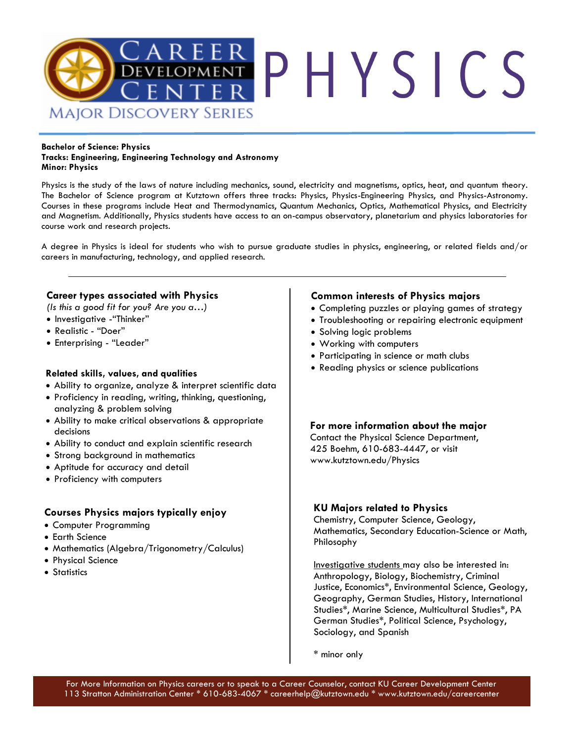

#### **Bachelor of Science: Physics Tracks: Engineering, Engineering Technology and Astronomy Minor: Physics**

Physics is the study of the laws of nature including mechanics, sound, electricity and magnetisms, optics, heat, and quantum theory. The Bachelor of Science program at Kutztown offers three tracks: Physics, Physics-Engineering Physics, and Physics-Astronomy. Courses in these programs include Heat and Thermodynamics, Quantum Mechanics, Optics, Mathematical Physics, and Electricity and Magnetism. Additionally, Physics students have access to an on-campus observatory, planetarium and physics laboratories for course work and research projects.

A degree in Physics is ideal for students who wish to pursue graduate studies in physics, engineering, or related fields and/or careers in manufacturing, technology, and applied research.

### **Career types associated with Physics**

*(Is this a good fit for you? Are you a…)* 

- Investigative -"Thinker"
- Realistic "Doer"
- Enterprising "Leader"

#### **Related skills, values, and qualities**

- Ability to organize, analyze & interpret scientific data
- Proficiency in reading, writing, thinking, questioning, analyzing & problem solving
- Ability to make critical observations & appropriate decisions
- Ability to conduct and explain scientific research
- Strong background in mathematics
- Aptitude for accuracy and detail
- Proficiency with computers

## **Courses Physics majors typically enjoy**

- Computer Programming
- Earth Science
- Mathematics (Algebra/Trigonometry/Calculus)
- Physical Science
- Statistics

### **Common interests of Physics majors**

- Completing puzzles or playing games of strategy
- Troubleshooting or repairing electronic equipment
- Solving logic problems
- Working with computers
- Participating in science or math clubs
- Reading physics or science publications

# **For more information about the major** Contact the Physical Science Department,

425 Boehm, 610-683-4447, or visit www.kutztown.edu/Physics

## **KU Majors related to Physics**

Chemistry, Computer Science, Geology, Mathematics, Secondary Education-Science or Math, Philosophy

Investigative students may also be interested in: Anthropology, Biology, Biochemistry, Criminal Justice, Economics\*, Environmental Science, Geology, Geography, German Studies, History, International Studies\*, Marine Science, Multicultural Studies\*, PA German Studies\*, Political Science, Psychology, Sociology, and Spanish

\* minor only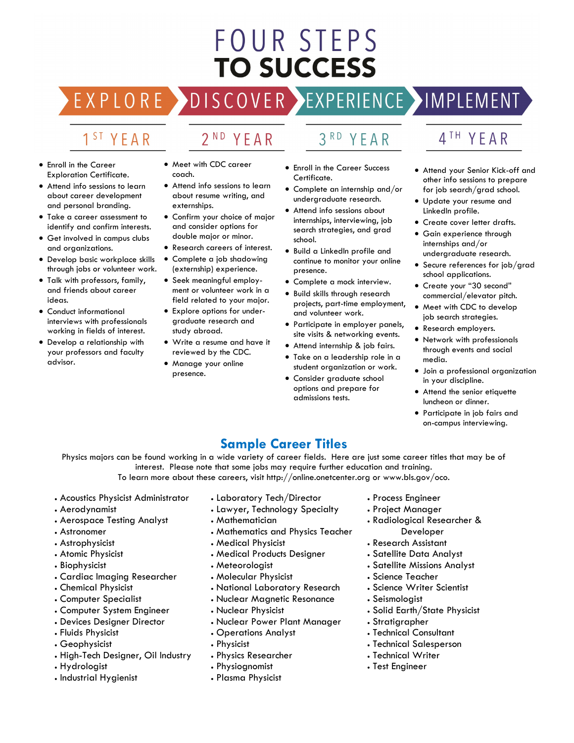# **FOUR STEPS TO SUCCESS**

# DISCOVER EXPERIENCE MOPLEMENT

2<sup>ND</sup> YEAR

# 1<sup>ST</sup> YEAR

EXPLORE >

- Enroll in the Career Exploration Certificate.
- Attend info sessions to learn about career development and personal branding.
- Take a career assessment to identify and confirm interests.
- Get involved in campus clubs and organizations.
- Develop basic workplace skills through jobs or volunteer work.
- Talk with professors, family, and friends about career ideas.
- Conduct informational interviews with professionals working in fields of interest.
- Develop a relationship with your professors and faculty advisor.
- Meet with CDC career coach.
- Attend info sessions to learn about resume writing, and externships.
- Confirm your choice of major and consider options for double major or minor.
- Research careers of interest.
- Complete a job shadowing (externship) experience.
- Seek meaningful employment or volunteer work in a field related to your major.
- Explore options for undergraduate research and study abroad.
- Write a resume and have it reviewed by the CDC.
- Manage your online presence.
- 3RD YEAR
- Enroll in the Career Success Certificate.
- Complete an internship and/or undergraduate research.
- Attend info sessions about internships, interviewing, job search strategies, and grad school.
- Build a LinkedIn profile and continue to monitor your online presence.
- Complete a mock interview.
- Build skills through research projects, part-time employment, and volunteer work.
- Participate in employer panels, site visits & networking events.
- Attend internship & job fairs.
- Take on a leadership role in a student organization or work.
- Consider graduate school options and prepare for admissions tests.

# 4TH YEAR

- Attend your Senior Kick-off and other info sessions to prepare for job search/grad school.
- Update your resume and LinkedIn profile.
- Create cover letter drafts.
- Gain experience through internships and/or undergraduate research.
- Secure references for job/grad school applications.
- Create your "30 second" commercial/elevator pitch.
- Meet with CDC to develop job search strategies.
- Research employers.
- through events and social media.
- Join a professional organization in your discipline.
- Attend the senior etiquette luncheon or dinner.
- Participate in job fairs and on-campus interviewing.

# **Sample Career Titles**

Physics majors can be found working in a wide variety of career fields. Here are just some career titles that may be of interest. Please note that some jobs may require further education and training.

To learn more about these careers, visit http://online.onetcenter.org or www.bls.gov/oco.

- Acoustics Physicist Administrator
- Aerodynamist
- Aerospace Testing Analyst
- Astronomer
- Astrophysicist
- Atomic Physicist
- Biophysicist
- Cardiac Imaging Researcher
- Chemical Physicist
- Computer Specialist
- Computer System Engineer
- Devices Designer Director
- Fluids Physicist
- Geophysicist
- High-Tech Designer, Oil Industry
- Hydrologist
- Industrial Hygienist
- Laboratory Tech/Director
- Lawyer, Technology Specialty
- Mathematician
- Mathematics and Physics Teacher
- Medical Physicist
- Medical Products Designer
- Meteorologist
- Molecular Physicist
- National Laboratory Research
- Nuclear Magnetic Resonance
- Nuclear Physicist
- Nuclear Power Plant Manager
- Operations Analyst
- Physicist
- Physics Researcher
- Physiognomist
- Plasma Physicist
- Process Engineer
- Project Manager
- Radiological Researcher & Developer
- Research Assistant
- Satellite Data Analyst
- Satellite Missions Analyst
- Science Teacher
- Science Writer Scientist
- Seismologist
- Solid Earth/State Physicist
- Stratigrapher
- Technical Consultant
- Technical Salesperson
- Technical Writer
- Test Engineer
- - -
		- Network with professionals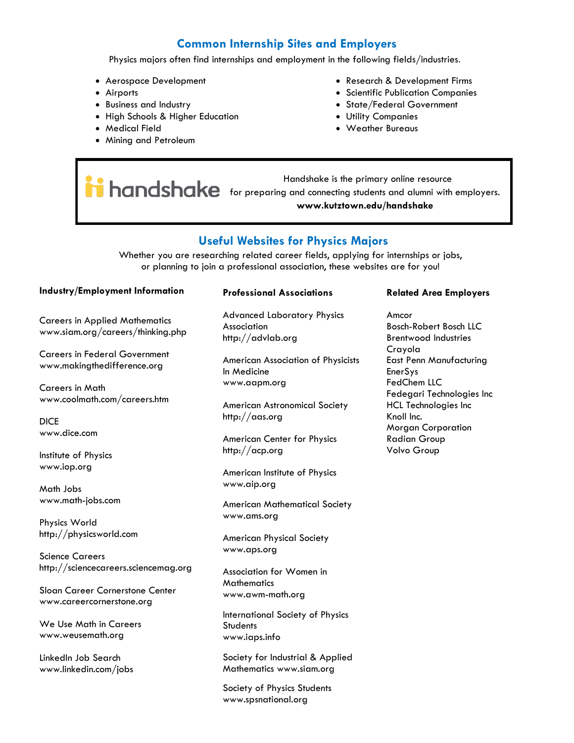# **Common Internship Sites and Employers**

Physics majors often find internships and employment in the following fields/industries.

- Aerospace Development
- Airports
- Business and Industry
- High Schools & Higher Education
- Medical Field
- Mining and Petroleum
- Research & Development Firms
- Scientific Publication Companies
- State/Federal Government
- Utility Companies
- Weather Bureaus

 Handshake is the primary online resource **hondshake** for preparing and connecting students and alumni with employers. **www.kutztown.edu/handshake**

# **Useful Websites for Physics Majors**

Whether you are researching related career fields, applying for internships or jobs, or planning to join a professional association, these websites are for you!

#### **Industry/Employment Information**

Careers in Applied Mathematics www.siam.org/careers/thinking.php

Careers in Federal Government www.makingthedifference.org

Careers in Math www.coolmath.com/careers.htm

DICE www.dice.com

Institute of Physics www.iop.org

Math Jobs www.math-jobs.com

Physics World http://physicsworld.com

Science Careers http://sciencecareers.sciencemag.org

Sloan Career Cornerstone Center www.careercornerstone.org

We Use Math in Careers www.weusemath.org

LinkedIn Job Search www.linkedin.com/jobs

#### **Professional Associations**

Advanced Laboratory Physics Association http://advlab.org

American Association of Physicists In Medicine www.aapm.org

American Astronomical Society http://aas.org

American Center for Physics http://acp.org

American Institute of Physics www.aip.org

American Mathematical Society www.ams.org

American Physical Society www.aps.org

Association for Women in **Mathematics** www.awm-math.org

International Society of Physics **Students** www.iaps.info

Society for Industrial & Applied Mathematics www.siam.org

Society of Physics Students www.spsnational.org

#### **Related Area Employers**

Amcor Bosch-Robert Bosch LLC Brentwood Industries Crayola East Penn Manufacturing EnerSys FedChem LLC Fedegari Technologies Inc HCL Technologies Inc Knoll Inc. Morgan Corporation Radian Group Volvo Group